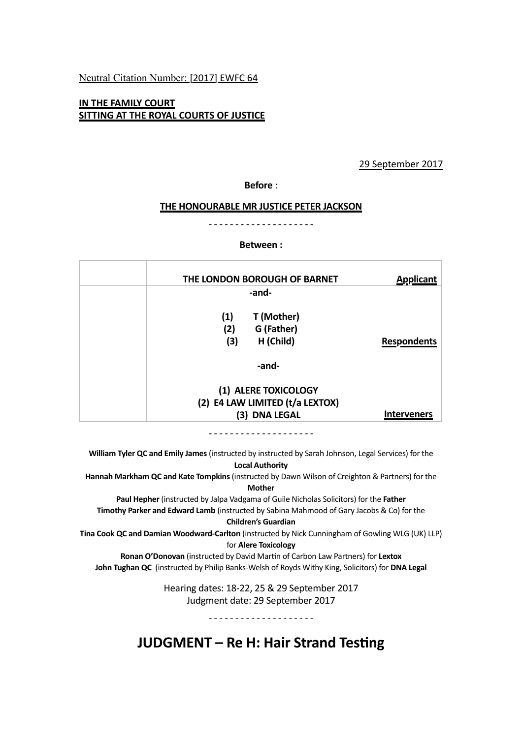## Neutral Citation Number: [2017] EWFC 64

## **IN THE FAMILY COURT SITTING AT THE ROYAL COURTS OF JUSTICE**

## 29 September 2017

## **Before** :

#### **THE HONOURABLE MR JUSTICE PETER JACKSON**

------------

#### **Between :**

| THE LONDON BOROUGH OF BARNET                                        | <b>Applicant</b>   |
|---------------------------------------------------------------------|--------------------|
| -and-                                                               |                    |
| T (Mother)<br>(1)<br>G (Father)<br>(2)<br>H (Child)<br>(3)<br>-and- | <b>Respondents</b> |
|                                                                     |                    |
| (1) ALERE TOXICOLOGY<br>(2) E4 LAW LIMITED (t/a LEXTOX)             |                    |
| (3) DNA LEGAL                                                       | <b>Interveners</b> |

- - - - - - - - - - - - - - - - - -

William Tyler QC and Emily James (instructed by instructed by Sarah Johnson, Legal Services) for the **Local Authority**

**Hannah Markham QC and Kate Tompkins** (instructed by Dawn Wilson of Creighton & Partners) for the

#### **Mother**

Paul Hepher (instructed by Jalpa Vadgama of Guile Nicholas Solicitors) for the Father **Timothy Parker and Edward Lamb** (instructed by Sabina Mahmood of Gary Jacobs & Co) for the

#### **Children's Guardian**

**Tina Cook QC and Damian Woodward-Carlton** (instructed by Nick Cunningham of Gowling WLG (UK) LLP) for **Alere Toxicology**

**Ronan O'Donovan** (instructed by David Martin of Carbon Law Partners) for Lextox **John Tughan QC** (instructed by Philip Banks-Welsh of Royds Withy King, Solicitors) for **DNA Legal** 

> Hearing dates: 18-22, 25 & 29 September 2017 Judgment date: 29 September 2017

> > <u>- - - - - - - - - - - - - - - - - - -</u>

**JUDGMENT** – Re H: Hair Strand Testing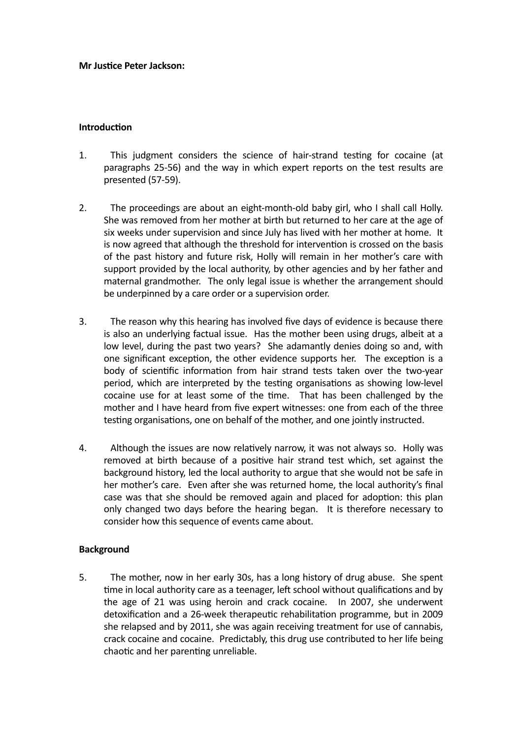### **Mr Justice Peter Jackson:**

## **Introduction**

- 1. This judgment considers the science of hair-strand testing for cocaine (at paragraphs 25-56) and the way in which expert reports on the test results are presented (57-59).
- 2. The proceedings are about an eight-month-old baby girl, who I shall call Holly. She was removed from her mother at birth but returned to her care at the age of six weeks under supervision and since July has lived with her mother at home. It is now agreed that although the threshold for intervention is crossed on the basis of the past history and future risk, Holly will remain in her mother's care with support provided by the local authority, by other agencies and by her father and maternal grandmother. The only legal issue is whether the arrangement should be underpinned by a care order or a supervision order.
- 3. The reason why this hearing has involved five days of evidence is because there is also an underlying factual issue. Has the mother been using drugs, albeit at a low level, during the past two years? She adamantly denies doing so and, with one significant exception, the other evidence supports her. The exception is a body of scientific information from hair strand tests taken over the two-year period, which are interpreted by the testing organisations as showing low-level cocaine use for at least some of the time. That has been challenged by the mother and I have heard from five expert witnesses: one from each of the three testing organisations, one on behalf of the mother, and one jointly instructed.
- 4. Although the issues are now relatively narrow, it was not always so. Holly was removed at birth because of a positive hair strand test which, set against the background history, led the local authority to argue that she would not be safe in her mother's care. Even after she was returned home, the local authority's final case was that she should be removed again and placed for adoption: this plan only changed two days before the hearing began. It is therefore necessary to consider how this sequence of events came about.

# **Background**

5. The mother, now in her early 30s, has a long history of drug abuse. She spent time in local authority care as a teenager, left school without qualifications and by the age of 21 was using heroin and crack cocaine. In 2007, she underwent detoxification and a 26-week therapeutic rehabilitation programme, but in 2009 she relapsed and by 2011, she was again receiving treatment for use of cannabis, crack cocaine and cocaine. Predictably, this drug use contributed to her life being chaotic and her parenting unreliable.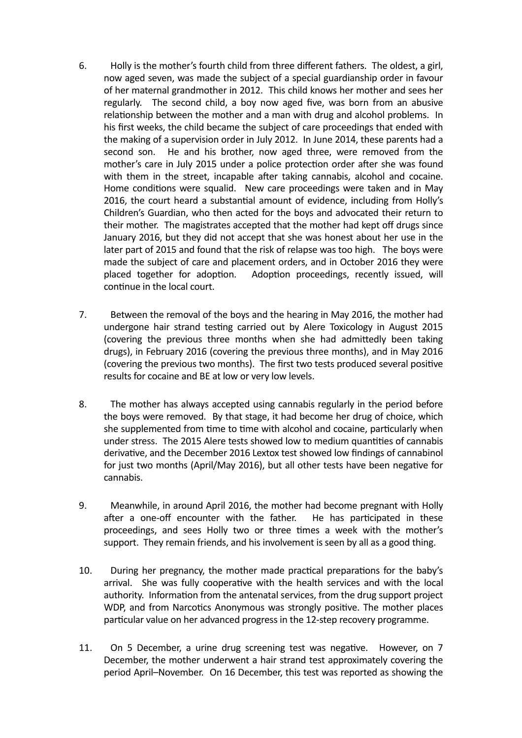- 6. Holly is the mother's fourth child from three different fathers. The oldest, a girl, now aged seven, was made the subject of a special guardianship order in favour of her maternal grandmother in 2012. This child knows her mother and sees her regularly. The second child, a boy now aged five, was born from an abusive relationship between the mother and a man with drug and alcohol problems. In his first weeks, the child became the subject of care proceedings that ended with the making of a supervision order in July 2012. In June 2014, these parents had a second son. He and his brother, now aged three, were removed from the mother's care in July 2015 under a police protection order after she was found with them in the street, incapable after taking cannabis, alcohol and cocaine. Home conditions were squalid. New care proceedings were taken and in May 2016, the court heard a substantial amount of evidence, including from Holly's Children's Guardian, who then acted for the boys and advocated their return to their mother. The magistrates accepted that the mother had kept off drugs since January 2016, but they did not accept that she was honest about her use in the later part of 2015 and found that the risk of relapse was too high. The boys were made the subject of care and placement orders, and in October 2016 they were placed together for adoption. Adoption proceedings, recently issued, will continue in the local court.
- 7. Between the removal of the boys and the hearing in May 2016, the mother had undergone hair strand testing carried out by Alere Toxicology in August 2015 (covering the previous three months when she had admittedly been taking drugs), in February 2016 (covering the previous three months), and in May 2016 (covering the previous two months). The first two tests produced several positive results for cocaine and BE at low or very low levels.
- 8. The mother has always accepted using cannabis regularly in the period before the boys were removed. By that stage, it had become her drug of choice, which she supplemented from time to time with alcohol and cocaine, particularly when under stress. The 2015 Alere tests showed low to medium quantities of cannabis derivative, and the December 2016 Lextox test showed low findings of cannabinol for just two months (April/May 2016), but all other tests have been negative for cannabis.
- 9. Meanwhile, in around April 2016, the mother had become pregnant with Holly after a one-off encounter with the father. He has participated in these proceedings, and sees Holly two or three times a week with the mother's support. They remain friends, and his involvement is seen by all as a good thing.
- 10. During her pregnancy, the mother made practical preparations for the baby's arrival. She was fully cooperative with the health services and with the local authority. Information from the antenatal services, from the drug support project WDP, and from Narcotics Anonymous was strongly positive. The mother places particular value on her advanced progress in the 12-step recovery programme.
- 11. On 5 December, a urine drug screening test was negative. However, on 7 December, the mother underwent a hair strand test approximately covering the period April–November. On 16 December, this test was reported as showing the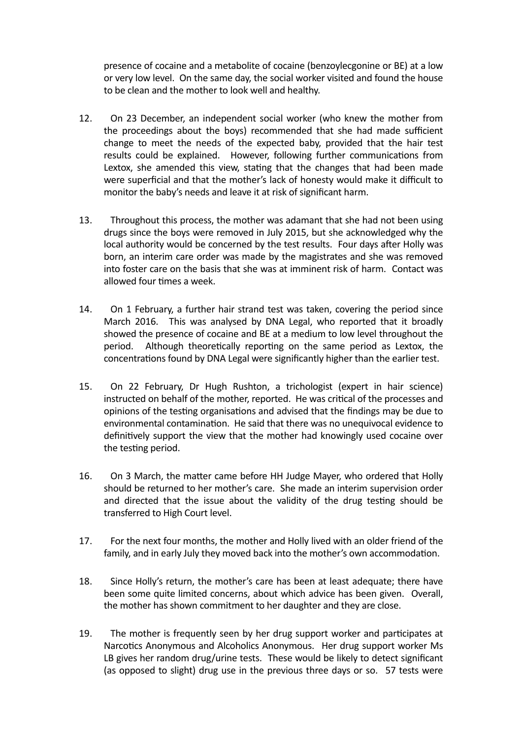presence of cocaine and a metabolite of cocaine (benzoylecgonine or BE) at a low or very low level. On the same day, the social worker visited and found the house to be clean and the mother to look well and healthy.

- 12. On 23 December, an independent social worker (who knew the mother from the proceedings about the boys) recommended that she had made sufficient change to meet the needs of the expected baby, provided that the hair test results could be explained. However, following further communications from Lextox, she amended this view, stating that the changes that had been made were superficial and that the mother's lack of honesty would make it difficult to monitor the baby's needs and leave it at risk of significant harm.
- 13. Throughout this process, the mother was adamant that she had not been using drugs since the boys were removed in July 2015, but she acknowledged why the local authority would be concerned by the test results. Four days after Holly was born, an interim care order was made by the magistrates and she was removed into foster care on the basis that she was at imminent risk of harm. Contact was allowed four times a week.
- 14. On 1 February, a further hair strand test was taken, covering the period since March 2016. This was analysed by DNA Legal, who reported that it broadly showed the presence of cocaine and BE at a medium to low level throughout the period. Although theoretically reporting on the same period as Lextox, the concentrations found by DNA Legal were significantly higher than the earlier test.
- 15. On 22 February, Dr Hugh Rushton, a trichologist (expert in hair science) instructed on behalf of the mother, reported. He was critical of the processes and opinions of the testing organisations and advised that the findings may be due to environmental contamination. He said that there was no unequivocal evidence to definitively support the view that the mother had knowingly used cocaine over the testing period.
- 16. On 3 March, the matter came before HH Judge Mayer, who ordered that Holly should be returned to her mother's care. She made an interim supervision order and directed that the issue about the validity of the drug testing should be transferred to High Court level.
- 17. For the next four months, the mother and Holly lived with an older friend of the family, and in early July they moved back into the mother's own accommodation.
- 18. Since Holly's return, the mother's care has been at least adequate; there have been some quite limited concerns, about which advice has been given. Overall, the mother has shown commitment to her daughter and they are close.
- 19. The mother is frequently seen by her drug support worker and participates at Narcotics Anonymous and Alcoholics Anonymous. Her drug support worker Ms LB gives her random drug/urine tests. These would be likely to detect significant (as opposed to slight) drug use in the previous three days or so. 57 tests were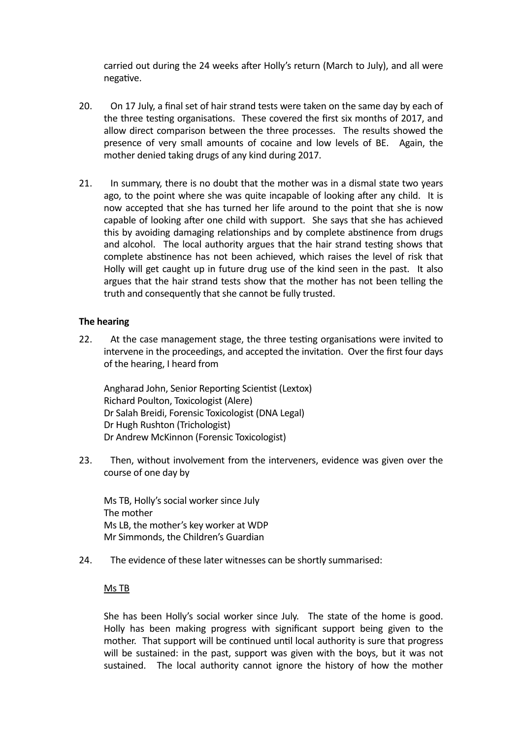carried out during the 24 weeks after Holly's return (March to July), and all were negative.

- 20. On 17 July, a final set of hair strand tests were taken on the same day by each of the three testing organisations. These covered the first six months of 2017, and allow direct comparison between the three processes. The results showed the presence of very small amounts of cocaine and low levels of BE. Again, the mother denied taking drugs of any kind during 2017.
- 21. In summary, there is no doubt that the mother was in a dismal state two years ago, to the point where she was quite incapable of looking after any child. It is now accepted that she has turned her life around to the point that she is now capable of looking after one child with support. She says that she has achieved this by avoiding damaging relationships and by complete abstinence from drugs and alcohol. The local authority argues that the hair strand testing shows that complete abstinence has not been achieved, which raises the level of risk that Holly will get caught up in future drug use of the kind seen in the past. It also argues that the hair strand tests show that the mother has not been telling the truth and consequently that she cannot be fully trusted.

## **The hearing**

22. At the case management stage, the three testing organisations were invited to intervene in the proceedings, and accepted the invitation. Over the first four days of the hearing, I heard from

Angharad John, Senior Reporting Scientist (Lextox) Richard Poulton, Toxicologist (Alere) Dr Salah Breidi, Forensic Toxicologist (DNA Legal) Dr Hugh Rushton (Trichologist) Dr Andrew McKinnon (Forensic Toxicologist)

23. Then, without involvement from the interveners, evidence was given over the course of one day by

Ms TB, Holly's social worker since July The mother Ms LB, the mother's key worker at WDP Mr Simmonds, the Children's Guardian

24. The evidence of these later witnesses can be shortly summarised:

## Ms TB

She has been Holly's social worker since July. The state of the home is good. Holly has been making progress with significant support being given to the mother. That support will be continued until local authority is sure that progress will be sustained: in the past, support was given with the boys, but it was not sustained. The local authority cannot ignore the history of how the mother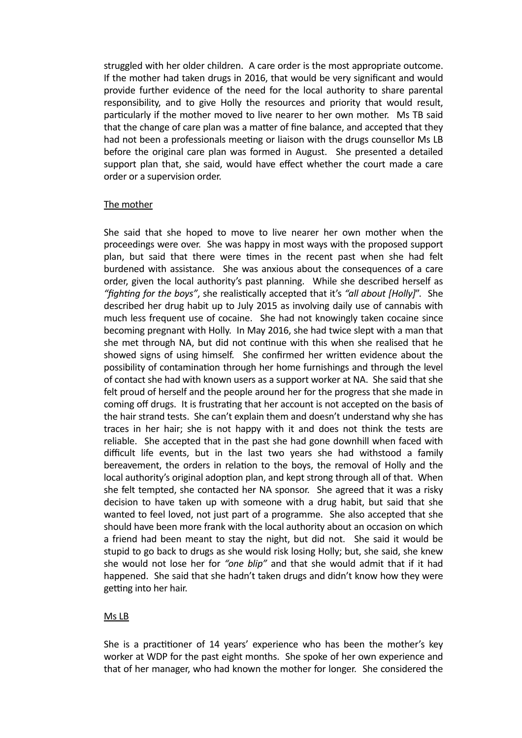struggled with her older children. A care order is the most appropriate outcome. If the mother had taken drugs in 2016, that would be very significant and would provide further evidence of the need for the local authority to share parental responsibility, and to give Holly the resources and priority that would result, particularly if the mother moved to live nearer to her own mother. Ms TB said that the change of care plan was a matter of fine balance, and accepted that they had not been a professionals meeting or liaison with the drugs counsellor Ms LB before the original care plan was formed in August. She presented a detailed support plan that, she said, would have effect whether the court made a care order or a supervision order.

## The mother

She said that she hoped to move to live nearer her own mother when the proceedings were over. She was happy in most ways with the proposed support plan, but said that there were times in the recent past when she had felt burdened with assistance. She was anxious about the consequences of a care order, given the local authority's past planning. While she described herself as "*fighting for the boys"*, she realistically accepted that it's "*all about [Holly]*". She described her drug habit up to July 2015 as involving daily use of cannabis with much less frequent use of cocaine. She had not knowingly taken cocaine since becoming pregnant with Holly. In May 2016, she had twice slept with a man that she met through NA, but did not continue with this when she realised that he showed signs of using himself. She confirmed her written evidence about the possibility of contamination through her home furnishings and through the level of contact she had with known users as a support worker at NA. She said that she felt proud of herself and the people around her for the progress that she made in coming off drugs. It is frustrating that her account is not accepted on the basis of the hair strand tests. She can't explain them and doesn't understand why she has traces in her hair; she is not happy with it and does not think the tests are reliable. She accepted that in the past she had gone downhill when faced with difficult life events, but in the last two years she had withstood a family bereavement, the orders in relation to the boys, the removal of Holly and the local authority's original adoption plan, and kept strong through all of that. When she felt tempted, she contacted her NA sponsor. She agreed that it was a risky decision to have taken up with someone with a drug habit, but said that she wanted to feel loved, not just part of a programme. She also accepted that she should have been more frank with the local authority about an occasion on which a friend had been meant to stay the night, but did not. She said it would be stupid to go back to drugs as she would risk losing Holly; but, she said, she knew she would not lose her for "one blip" and that she would admit that if it had happened. She said that she hadn't taken drugs and didn't know how they were getting into her hair.

## Ms LB

She is a practitioner of 14 years' experience who has been the mother's key worker at WDP for the past eight months. She spoke of her own experience and that of her manager, who had known the mother for longer. She considered the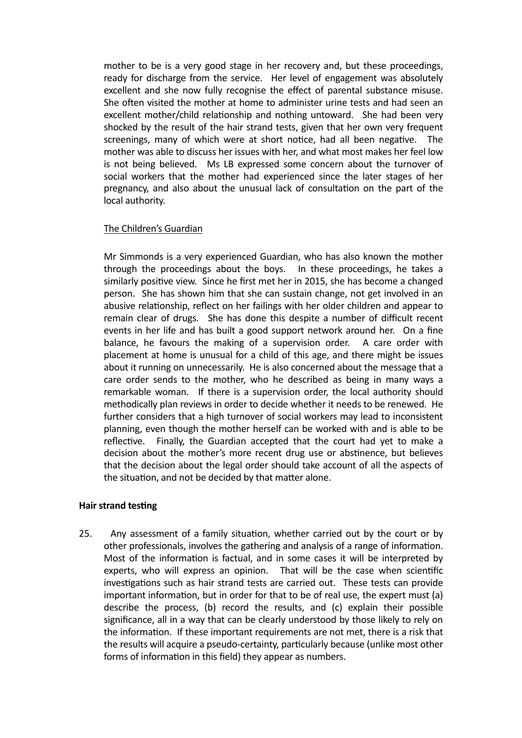mother to be is a very good stage in her recovery and, but these proceedings, ready for discharge from the service. Her level of engagement was absolutely excellent and she now fully recognise the effect of parental substance misuse. She often visited the mother at home to administer urine tests and had seen an excellent mother/child relationship and nothing untoward. She had been very shocked by the result of the hair strand tests, given that her own very frequent screenings, many of which were at short notice, had all been negative. The mother was able to discuss her issues with her, and what most makes her feel low is not being believed. Ms LB expressed some concern about the turnover of social workers that the mother had experienced since the later stages of her pregnancy, and also about the unusual lack of consultation on the part of the local authority.

# The Children's Guardian

Mr Simmonds is a very experienced Guardian, who has also known the mother through the proceedings about the boys. In these proceedings, he takes a similarly positive view. Since he first met her in 2015, she has become a changed person. She has shown him that she can sustain change, not get involved in an abusive relationship, reflect on her failings with her older children and appear to remain clear of drugs. She has done this despite a number of difficult recent events in her life and has built a good support network around her. On a fine balance, he favours the making of a supervision order. A care order with placement at home is unusual for a child of this age, and there might be issues about it running on unnecessarily. He is also concerned about the message that a care order sends to the mother, who he described as being in many ways a remarkable woman. If there is a supervision order, the local authority should methodically plan reviews in order to decide whether it needs to be renewed. He further considers that a high turnover of social workers may lead to inconsistent planning, even though the mother herself can be worked with and is able to be reflective. Finally, the Guardian accepted that the court had yet to make a decision about the mother's more recent drug use or abstinence, but believes that the decision about the legal order should take account of all the aspects of the situation, and not be decided by that matter alone.

## **Hair strand testing**

25. Any assessment of a family situation, whether carried out by the court or by other professionals, involves the gathering and analysis of a range of information. Most of the information is factual, and in some cases it will be interpreted by experts, who will express an opinion. That will be the case when scientific investigations such as hair strand tests are carried out. These tests can provide important information, but in order for that to be of real use, the expert must (a) describe the process, (b) record the results, and (c) explain their possible significance, all in a way that can be clearly understood by those likely to rely on the information. If these important requirements are not met, there is a risk that the results will acquire a pseudo-certainty, particularly because (unlike most other forms of information in this field) they appear as numbers.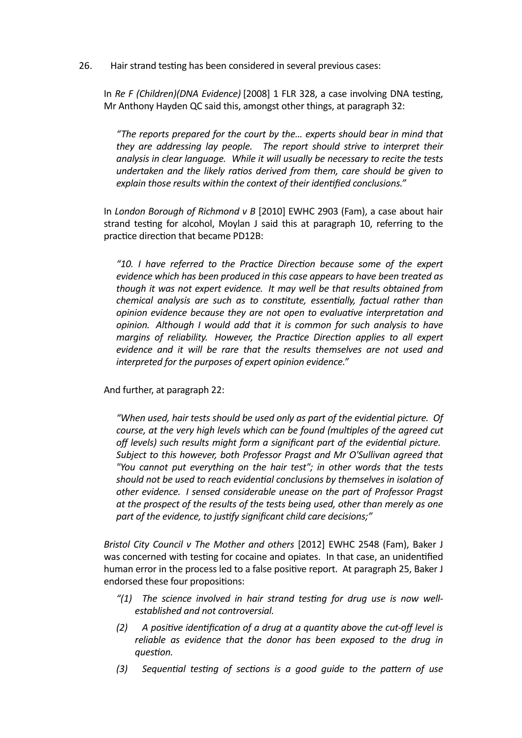26. Hair strand testing has been considered in several previous cases:

In Re F (Children)(DNA Evidence) [2008] 1 FLR 328, a case involving DNA testing, Mr Anthony Hayden QC said this, amongst other things, at paragraph 32:

"The reports prepared for the court by the... experts should bear in mind that *they are addressing lay people.* The report should strive to interpret their analysis in clear language. While it will usually be necessary to recite the tests undertaken and the likely ratios derived from them, care should be given to explain those results within the context of their identified conclusions."

In *London Borough of Richmond v B* [2010] EWHC 2903 (Fam), a case about hair strand testing for alcohol, Moylan J said this at paragraph 10, referring to the practice direction that became PD12B:

*"10. I have referred to the Prac%ce Direc%on because some of the expert evidence which has been produced in this case appears to have been treated as though* it was not expert evidence. It may well be that results obtained from *chemical analysis are such as to constitute, essentially, factual rather than opinion evidence because they are not open to evaluative interpretation and opinion.* Although I would add that it is common for such analysis to have *margins of reliability. However, the Practice Direction applies to all expert* evidence and it will be rare that the results themselves are not used and interpreted for the purposes of expert opinion evidence."

And further, at paragraph 22:

*"When used, hair tests should be used only as part of the eviden%al picture. Of course, at the very high levels which can be found (multiples of the agreed cut off levels)* such results might form a significant part of the evidential picture. Subject to this however, both Professor Pragst and Mr O'Sullivan agreed that *"You cannot put everything on the hair test"; in other words that the tests*  should not be used to reach evidential conclusions by themselves in isolation of *other* evidence. I sensed considerable unease on the part of Professor Pragst at the prospect of the results of the tests being used, other than merely as one part of the evidence, to justify significant child care decisions;"

*Bristol City Council v The Mother and others* [2012] EWHC 2548 (Fam), Baker J was concerned with testing for cocaine and opiates. In that case, an unidentified human error in the process led to a false positive report. At paragraph 25, Baker J endorsed these four propositions:

- "(1) The science involved in hair strand testing for drug use is now well*established and not controversial.*
- *(2)* A positive identification of a drug at a quantity above the cut-off level is reliable as evidence that the donor has been exposed to the drug in *guestion.*
- (3) Sequential testing of sections is a good quide to the pattern of use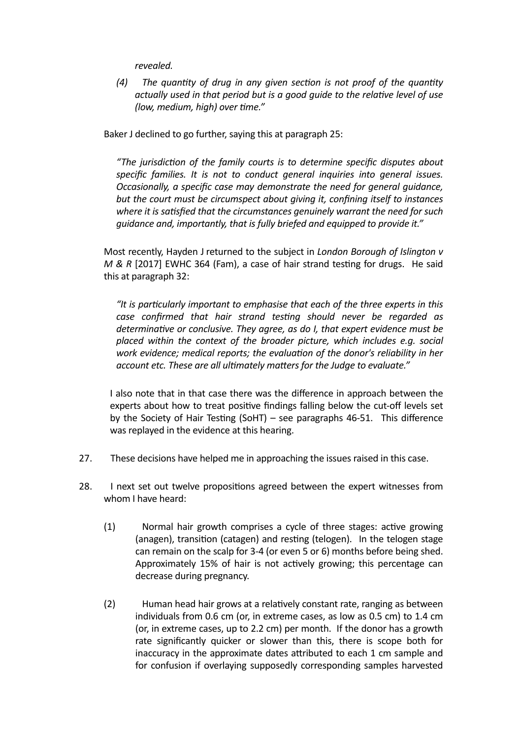*revealed.*

*(4)* The quantity of drug in any given section is not proof of the quantity *actually used in that period but is a good quide to the relative level of use (low, medium, high)* over time."

Baker J declined to go further, saying this at paragraph 25:

"The jurisdiction of the family courts is to determine specific disputes about *specific families.* It is not to conduct general inquiries into general issues. *Occasionally, a specific case may demonstrate the need for general quidance,* but the court must be circumspect about giving it, confining itself to instances where it is satisfied that the circumstances genuinely warrant the need for such guidance and, importantly, that is fully briefed and equipped to provide it."

Most recently, Hayden J returned to the subject in *London Borough of Islington v M* & *R* [2017] EWHC 364 (Fam), a case of hair strand testing for drugs. He said this at paragraph 32:

"It is particularly important to emphasise that each of the three experts in this case confirmed that hair strand testing should never be regarded as determinative or conclusive. They agree, as do I, that expert evidence must be placed within the context of the broader picture, which includes e.g. social *work* evidence; medical reports; the evaluation of the donor's reliability in her account etc. These are all ultimately matters for the Judge to evaluate."

I also note that in that case there was the difference in approach between the experts about how to treat positive findings falling below the cut-off levels set by the Society of Hair Testing  $(SoHT)$  – see paragraphs 46-51. This difference was replayed in the evidence at this hearing.

- 27. These decisions have helped me in approaching the issues raised in this case.
- 28. I next set out twelve propositions agreed between the expert witnesses from whom I have heard:
	- (1) Normal hair growth comprises a cycle of three stages: active growing (anagen), transition (catagen) and resting (telogen). In the telogen stage can remain on the scalp for 3-4 (or even 5 or 6) months before being shed. Approximately 15% of hair is not actively growing; this percentage can decrease during pregnancy.
	- (2) Human head hair grows at a relatively constant rate, ranging as between individuals from 0.6 cm (or, in extreme cases, as low as 0.5 cm) to 1.4 cm (or, in extreme cases, up to 2.2 cm) per month. If the donor has a growth rate significantly quicker or slower than this, there is scope both for inaccuracy in the approximate dates attributed to each 1 cm sample and for confusion if overlaying supposedly corresponding samples harvested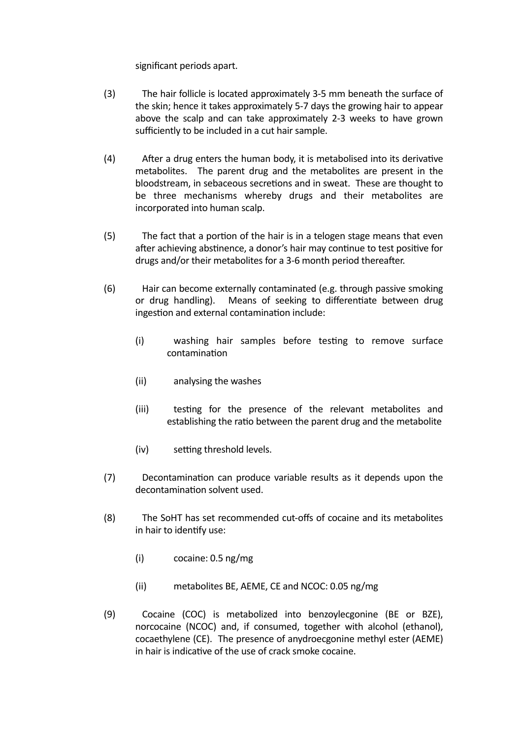significant periods apart.

- (3) The hair follicle is located approximately 3-5 mm beneath the surface of the skin; hence it takes approximately 5-7 days the growing hair to appear above the scalp and can take approximately 2-3 weeks to have grown sufficiently to be included in a cut hair sample.
- $(4)$  After a drug enters the human body, it is metabolised into its derivative metabolites. The parent drug and the metabolites are present in the bloodstream, in sebaceous secretions and in sweat. These are thought to be three mechanisms whereby drugs and their metabolites are incorporated into human scalp.
- $(5)$  The fact that a portion of the hair is in a telogen stage means that even after achieving abstinence, a donor's hair may continue to test positive for drugs and/or their metabolites for a 3-6 month period thereafter.
- (6) Hair can become externally contaminated (e.g. through passive smoking or drug handling). Means of seeking to differentiate between drug ingestion and external contamination include:
	- (i) washing hair samples before testing to remove surface contamination
	- (ii) analysing the washes
	- (iii) testing for the presence of the relevant metabolites and establishing the ratio between the parent drug and the metabolite
	- $(iv)$  setting threshold levels.
- (7) Decontamination can produce variable results as it depends upon the decontamination solvent used.
- (8) The SoHT has set recommended cut-offs of cocaine and its metabolites in hair to identify use:
	- $(i)$  cocaine: 0.5 ng/mg
	- (ii) metabolites BE, AEME, CE and NCOC: 0.05 ng/mg
- (9) Cocaine (COC) is metabolized into benzoylecgonine (BE or BZE), norcocaine (NCOC) and, if consumed, together with alcohol (ethanol), cocaethylene (CE). The presence of anydroecgonine methyl ester (AEME) in hair is indicative of the use of crack smoke cocaine.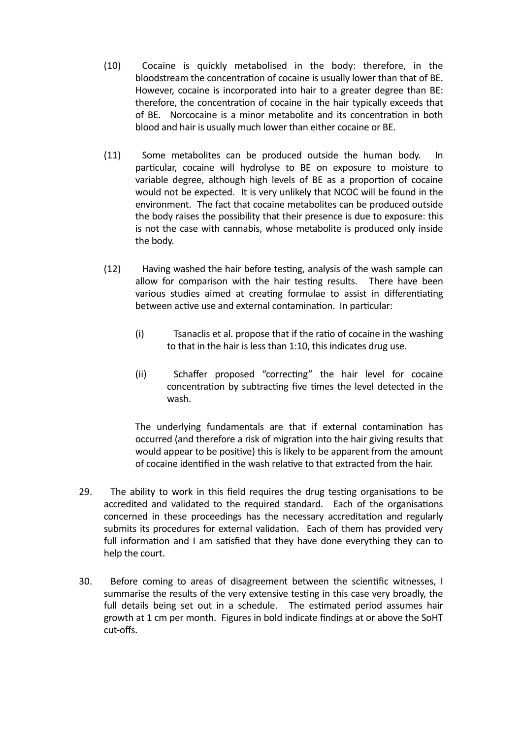- (10) Cocaine is quickly metabolised in the body: therefore, in the bloodstream the concentration of cocaine is usually lower than that of BE. However, cocaine is incorporated into hair to a greater degree than BE: therefore, the concentration of cocaine in the hair typically exceeds that of BE. Norcocaine is a minor metabolite and its concentration in both blood and hair is usually much lower than either cocaine or BE.
- (11) Some metabolites can be produced outside the human body. In particular, cocaine will hydrolyse to BE on exposure to moisture to variable degree, although high levels of BE as a proportion of cocaine would not be expected. It is very unlikely that NCOC will be found in the environment. The fact that cocaine metabolites can be produced outside the body raises the possibility that their presence is due to exposure: this is not the case with cannabis, whose metabolite is produced only inside the body.
- (12) Having washed the hair before testing, analysis of the wash sample can allow for comparison with the hair testing results. There have been various studies aimed at creating formulae to assist in differentiating between active use and external contamination. In particular:
	- (i) Tsanaclis et al. propose that if the ratio of cocaine in the washing to that in the hair is less than 1:10, this indicates drug use.
	- (ii) Schaffer proposed "correcting" the hair level for cocaine concentration by subtracting five times the level detected in the wash.

The underlying fundamentals are that if external contamination has occurred (and therefore a risk of migration into the hair giving results that would appear to be positive) this is likely to be apparent from the amount of cocaine identified in the wash relative to that extracted from the hair.

- 29. The ability to work in this field requires the drug testing organisations to be accredited and validated to the required standard. Each of the organisations concerned in these proceedings has the necessary accreditation and regularly submits its procedures for external validation. Each of them has provided very full information and I am satisfied that they have done everything they can to help the court.
- 30. Before coming to areas of disagreement between the scientific witnesses. I summarise the results of the very extensive testing in this case very broadly, the full details being set out in a schedule. The estimated period assumes hair growth at 1 cm per month. Figures in bold indicate findings at or above the SoHT cut-offs.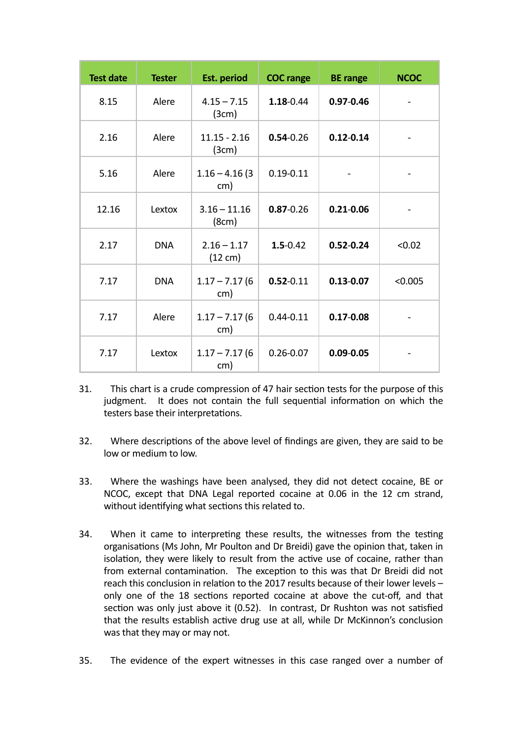| <b>Test date</b> | <b>Tester</b> | <b>Est. period</b>                 | <b>COC</b> range | <b>BE</b> range | <b>NCOC</b> |
|------------------|---------------|------------------------------------|------------------|-----------------|-------------|
| 8.15             | Alere         | $4.15 - 7.15$<br>(3cm)             | $1.18 - 0.44$    | $0.97 - 0.46$   |             |
| 2.16             | Alere         | $11.15 - 2.16$<br>(3cm)            | $0.54 - 0.26$    | $0.12 - 0.14$   |             |
| 5.16             | Alere         | $1.16 - 4.16(3)$<br>cm)            | $0.19 - 0.11$    |                 |             |
| 12.16            | Lextox        | $3.16 - 11.16$<br>(8cm)            | $0.87 - 0.26$    | $0.21 - 0.06$   |             |
| 2.17             | <b>DNA</b>    | $2.16 - 1.17$<br>$(12 \text{ cm})$ | $1.5 - 0.42$     | $0.52 - 0.24$   | < 0.02      |
| 7.17             | <b>DNA</b>    | $1.17 - 7.17$ (6<br>cm)            | $0.52 - 0.11$    | $0.13 - 0.07$   | < 0.005     |
| 7.17             | Alere         | $1.17 - 7.17$ (6<br>cm)            | $0.44 - 0.11$    | $0.17 - 0.08$   |             |
| 7.17             | Lextox        | $1.17 - 7.17$ (6<br>cm)            | $0.26 - 0.07$    | $0.09 - 0.05$   |             |

- 31. This chart is a crude compression of 47 hair section tests for the purpose of this judgment. It does not contain the full sequential information on which the testers base their interpretations.
- 32. Where descriptions of the above level of findings are given, they are said to be low or medium to low.
- 33. Where the washings have been analysed, they did not detect cocaine, BE or NCOC, except that DNA Legal reported cocaine at 0.06 in the 12 cm strand, without identifying what sections this related to.
- 34. When it came to interpreting these results, the witnesses from the testing organisations (Ms John, Mr Poulton and Dr Breidi) gave the opinion that, taken in isolation, they were likely to result from the active use of cocaine, rather than from external contamination. The exception to this was that Dr Breidi did not reach this conclusion in relation to the 2017 results because of their lower levels  $$ only one of the 18 sections reported cocaine at above the cut-off, and that section was only just above it (0.52). In contrast, Dr Rushton was not satisfied that the results establish active drug use at all, while Dr McKinnon's conclusion was that they may or may not.
- 35. The evidence of the expert witnesses in this case ranged over a number of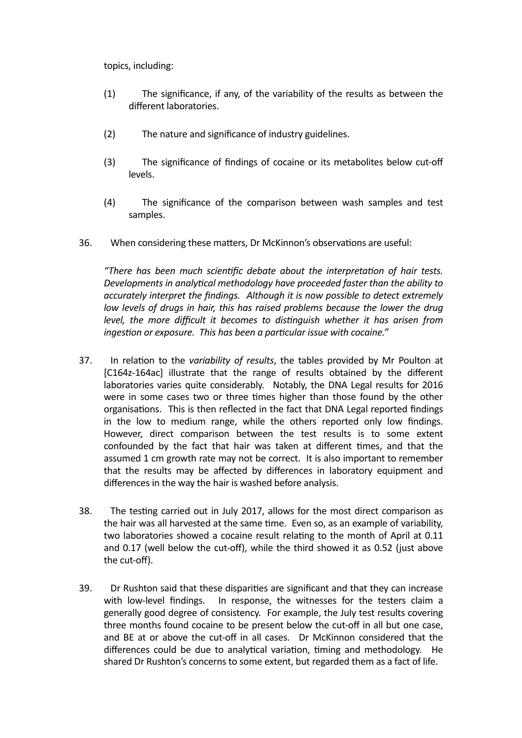topics, including:

- (1) The significance, if any, of the variability of the results as between the different laboratories.
- (2) The nature and significance of industry guidelines.
- (3) The significance of findings of cocaine or its metabolites below cut-off levels.
- (4) The significance of the comparison between wash samples and test samples.
- 36. When considering these matters, Dr McKinnon's observations are useful:

*"There has been much scien%fic debate about the interpreta%on of hair tests. Developments in analytical methodology have proceeded faster than the ability to accurately interpret the findings. Although it is now possible to detect extremely low* levels of drugs in hair, this has raised problems because the lower the drug *level, the more difficult it becomes to distinguish whether it has arisen from ingestion or exposure. This has been a particular issue with cocaine."* 

- 37. In relation to the *variability of results*, the tables provided by Mr Poulton at [C164z-164ac] illustrate that the range of results obtained by the different laboratories varies quite considerably. Notably, the DNA Legal results for 2016 were in some cases two or three times higher than those found by the other organisations. This is then reflected in the fact that DNA Legal reported findings in the low to medium range, while the others reported only low findings. However, direct comparison between the test results is to some extent confounded by the fact that hair was taken at different times, and that the assumed 1 cm growth rate may not be correct. It is also important to remember that the results may be affected by differences in laboratory equipment and differences in the way the hair is washed before analysis.
- 38. The testing carried out in July 2017, allows for the most direct comparison as the hair was all harvested at the same time. Even so, as an example of variability, two laboratories showed a cocaine result relating to the month of April at 0.11 and  $0.17$  (well below the cut-off), while the third showed it as  $0.52$  (just above the cut-off).
- 39. Dr Rushton said that these disparities are significant and that they can increase with low-level findings. In response, the witnesses for the testers claim a generally good degree of consistency. For example, the July test results covering three months found cocaine to be present below the cut-off in all but one case, and BE at or above the cut-off in all cases. Dr McKinnon considered that the differences could be due to analytical variation, timing and methodology. He shared Dr Rushton's concerns to some extent, but regarded them as a fact of life.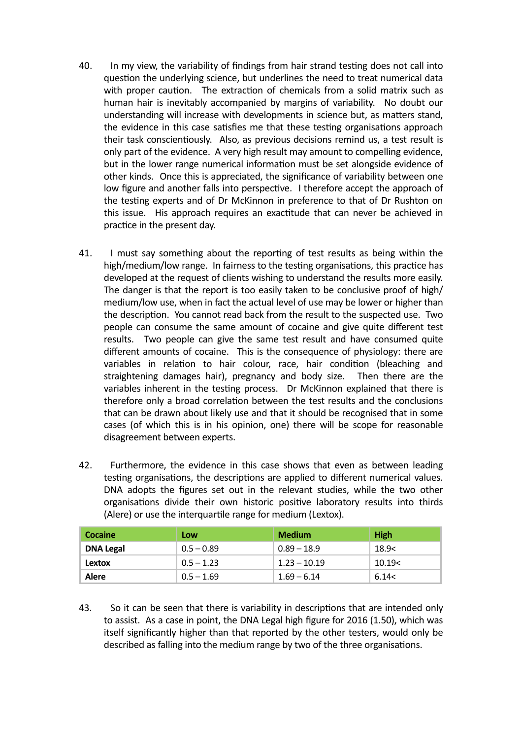- 40. In my view, the variability of findings from hair strand testing does not call into question the underlying science, but underlines the need to treat numerical data with proper caution. The extraction of chemicals from a solid matrix such as human hair is inevitably accompanied by margins of variability. No doubt our understanding will increase with developments in science but, as matters stand, the evidence in this case satisfies me that these testing organisations approach their task conscientiously. Also, as previous decisions remind us, a test result is only part of the evidence. A very high result may amount to compelling evidence, but in the lower range numerical information must be set alongside evidence of other kinds. Once this is appreciated, the significance of variability between one low figure and another falls into perspective. I therefore accept the approach of the testing experts and of Dr McKinnon in preference to that of Dr Rushton on this issue. His approach requires an exactitude that can never be achieved in practice in the present day.
- 41. I must say something about the reporting of test results as being within the high/medium/low range. In fairness to the testing organisations, this practice has developed at the request of clients wishing to understand the results more easily. The danger is that the report is too easily taken to be conclusive proof of high/ medium/low use, when in fact the actual level of use may be lower or higher than the description. You cannot read back from the result to the suspected use. Two people can consume the same amount of cocaine and give quite different test results. Two people can give the same test result and have consumed quite different amounts of cocaine. This is the consequence of physiology: there are variables in relation to hair colour, race, hair condition (bleaching and straightening damages hair), pregnancy and body size. Then there are the variables inherent in the testing process. Dr McKinnon explained that there is therefore only a broad correlation between the test results and the conclusions that can be drawn about likely use and that it should be recognised that in some cases (of which this is in his opinion, one) there will be scope for reasonable disagreement between experts.
- 42. Furthermore, the evidence in this case shows that even as between leading testing organisations, the descriptions are applied to different numerical values. DNA adopts the figures set out in the relevant studies, while the two other organisations divide their own historic positive laboratory results into thirds (Alere) or use the interquartile range for medium (Lextox).

| Cocaine          | Low          | <b>Medium</b>  | <b>High</b> |
|------------------|--------------|----------------|-------------|
| <b>DNA Legal</b> | $0.5 - 0.89$ | $0.89 - 18.9$  | 18.9<       |
| Lextox           | $0.5 - 1.23$ | $1.23 - 10.19$ | 10.19<      |
| Alere            | $0.5 - 1.69$ | $1.69 - 6.14$  | 6.14<       |

43. So it can be seen that there is variability in descriptions that are intended only to assist. As a case in point, the DNA Legal high figure for 2016 (1.50), which was itself significantly higher than that reported by the other testers, would only be described as falling into the medium range by two of the three organisations.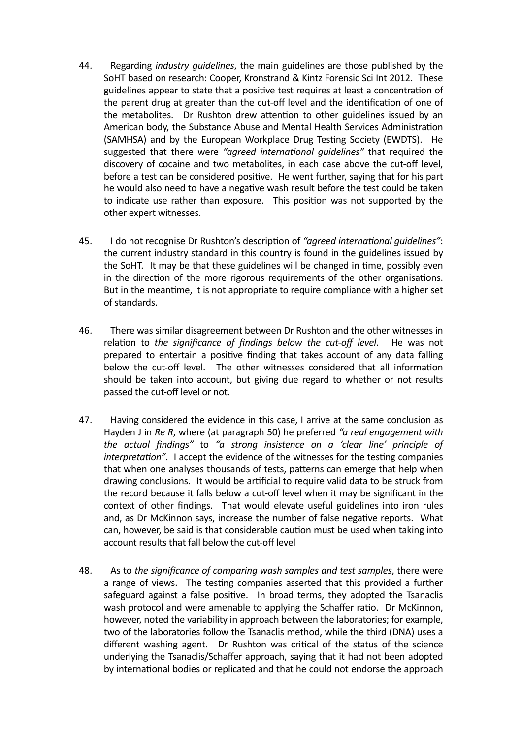- 44. Regarding *industry quidelines*, the main guidelines are those published by the SoHT based on research: Cooper, Kronstrand & Kintz Forensic Sci Int 2012. These guidelines appear to state that a positive test requires at least a concentration of the parent drug at greater than the cut-off level and the identification of one of the metabolites. Dr Rushton drew attention to other guidelines issued by an American body, the Substance Abuse and Mental Health Services Administration (SAMHSA) and by the European Workplace Drug Testing Society (EWDTS). He suggested that there were "*agreed international quidelines*" that required the discovery of cocaine and two metabolites, in each case above the cut-off level, before a test can be considered positive. He went further, saying that for his part he would also need to have a negative wash result before the test could be taken to indicate use rather than exposure. This position was not supported by the other expert witnesses.
- 45. I do not recognise Dr Rushton's description of "agreed international quidelines": the current industry standard in this country is found in the guidelines issued by the SoHT. It may be that these guidelines will be changed in time, possibly even in the direction of the more rigorous requirements of the other organisations. But in the meantime, it is not appropriate to require compliance with a higher set of standards.
- 46. There was similar disagreement between Dr Rushton and the other witnesses in relation to the significance of findings below the cut-off level. He was not prepared to entertain a positive finding that takes account of any data falling below the cut-off level. The other witnesses considered that all information should be taken into account, but giving due regard to whether or not results passed the cut-off level or not.
- 47. Having considered the evidence in this case, I arrive at the same conclusion as Hayden J in *Re R*, where (at paragraph 50) he preferred "*a real engagement with the actual findings"* to "a strong insistence on a 'clear line' principle of *interpretation".* I accept the evidence of the witnesses for the testing companies that when one analyses thousands of tests, patterns can emerge that help when drawing conclusions. It would be artificial to require valid data to be struck from the record because it falls below a cut-off level when it may be significant in the context of other findings. That would elevate useful guidelines into iron rules and, as Dr McKinnon says, increase the number of false negative reports. What can, however, be said is that considerable caution must be used when taking into account results that fall below the cut-off level
- 48. As to the significance of comparing wash samples and test samples, there were a range of views. The testing companies asserted that this provided a further safeguard against a false positive. In broad terms, they adopted the Tsanaclis wash protocol and were amenable to applying the Schaffer ratio. Dr McKinnon, however, noted the variability in approach between the laboratories; for example, two of the laboratories follow the Tsanaclis method, while the third (DNA) uses a different washing agent. Dr Rushton was critical of the status of the science underlying the Tsanaclis/Schaffer approach, saying that it had not been adopted by international bodies or replicated and that he could not endorse the approach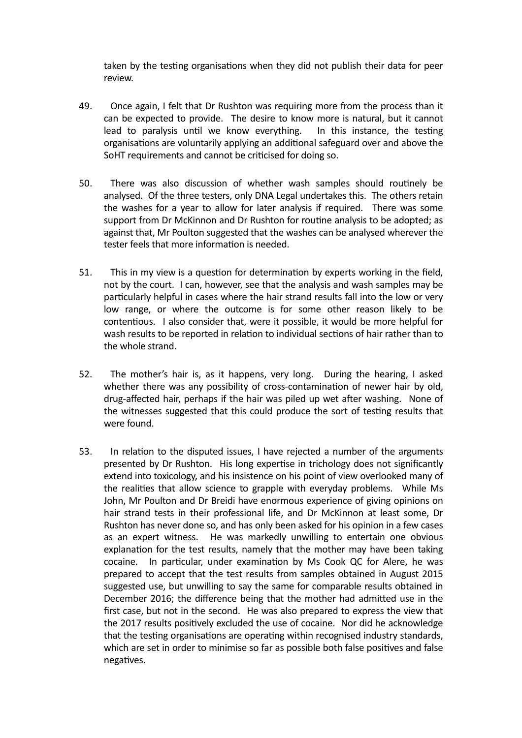taken by the testing organisations when they did not publish their data for peer review.

- 49. Once again, I felt that Dr Rushton was requiring more from the process than it can be expected to provide. The desire to know more is natural, but it cannot lead to paralysis until we know everything. In this instance, the testing organisations are voluntarily applying an additional safeguard over and above the SoHT requirements and cannot be criticised for doing so.
- 50. There was also discussion of whether wash samples should routinely be analysed. Of the three testers, only DNA Legal undertakes this. The others retain the washes for a year to allow for later analysis if required. There was some support from Dr McKinnon and Dr Rushton for routine analysis to be adopted; as against that, Mr Poulton suggested that the washes can be analysed wherever the tester feels that more information is needed.
- 51. This in my view is a question for determination by experts working in the field, not by the court. I can, however, see that the analysis and wash samples may be particularly helpful in cases where the hair strand results fall into the low or very low range, or where the outcome is for some other reason likely to be contentious. I also consider that, were it possible, it would be more helpful for wash results to be reported in relation to individual sections of hair rather than to the whole strand.
- 52. The mother's hair is, as it happens, very long. During the hearing, I asked whether there was any possibility of cross-contamination of newer hair by old, drug-affected hair, perhaps if the hair was piled up wet after washing. None of the witnesses suggested that this could produce the sort of testing results that were found.
- 53. In relation to the disputed issues, I have rejected a number of the arguments presented by Dr Rushton. His long expertise in trichology does not significantly extend into toxicology, and his insistence on his point of view overlooked many of the realities that allow science to grapple with everyday problems. While Ms John, Mr Poulton and Dr Breidi have enormous experience of giving opinions on hair strand tests in their professional life, and Dr McKinnon at least some, Dr Rushton has never done so, and has only been asked for his opinion in a few cases as an expert witness. He was markedly unwilling to entertain one obvious explanation for the test results, namely that the mother may have been taking cocaine. In particular, under examination by Ms Cook QC for Alere, he was prepared to accept that the test results from samples obtained in August 2015 suggested use, but unwilling to say the same for comparable results obtained in December 2016; the difference being that the mother had admitted use in the first case, but not in the second. He was also prepared to express the view that the 2017 results positively excluded the use of cocaine. Nor did he acknowledge that the testing organisations are operating within recognised industry standards, which are set in order to minimise so far as possible both false positives and false negatives.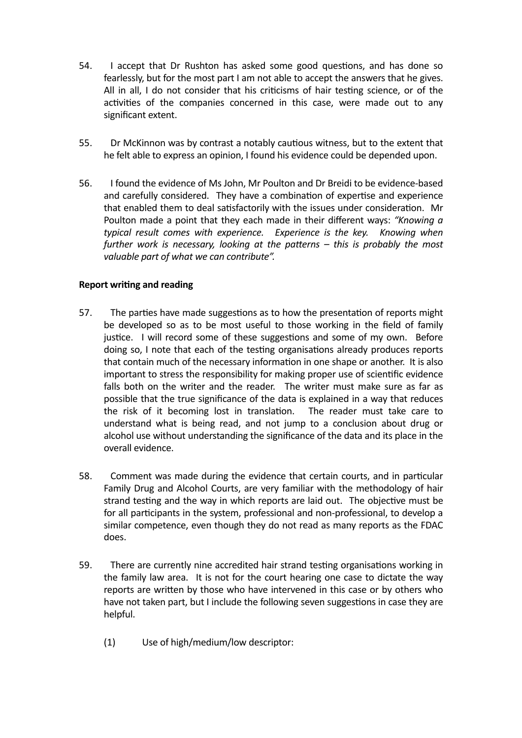- 54. I accept that Dr Rushton has asked some good questions, and has done so fearlessly, but for the most part I am not able to accept the answers that he gives. All in all, I do not consider that his criticisms of hair testing science, or of the activities of the companies concerned in this case, were made out to any significant extent.
- 55. Dr McKinnon was by contrast a notably cautious witness, but to the extent that he felt able to express an opinion, I found his evidence could be depended upon.
- 56. I found the evidence of Ms John, Mr Poulton and Dr Breidi to be evidence-based and carefully considered. They have a combination of expertise and experience that enabled them to deal satisfactorily with the issues under consideration. Mr Poulton made a point that they each made in their different ways: "Knowing a typical result comes with experience. Experience is the key. Knowing when *further* work is necessary, looking at the patterns – this is probably the most valuable part of what we can contribute".

# **Report writing and reading**

- 57. The parties have made suggestions as to how the presentation of reports might be developed so as to be most useful to those working in the field of family justice. I will record some of these suggestions and some of my own. Before doing so, I note that each of the testing organisations already produces reports that contain much of the necessary information in one shape or another. It is also important to stress the responsibility for making proper use of scientific evidence falls both on the writer and the reader. The writer must make sure as far as possible that the true significance of the data is explained in a way that reduces the risk of it becoming lost in translation. The reader must take care to understand what is being read, and not jump to a conclusion about drug or alcohol use without understanding the significance of the data and its place in the overall evidence.
- 58. Comment was made during the evidence that certain courts, and in particular Family Drug and Alcohol Courts, are very familiar with the methodology of hair strand testing and the way in which reports are laid out. The objective must be for all participants in the system, professional and non-professional, to develop a similar competence, even though they do not read as many reports as the FDAC does.
- 59. There are currently nine accredited hair strand testing organisations working in the family law area. It is not for the court hearing one case to dictate the way reports are written by those who have intervened in this case or by others who have not taken part, but I include the following seven suggestions in case they are helpful.
	- (1) Use of high/medium/low descriptor: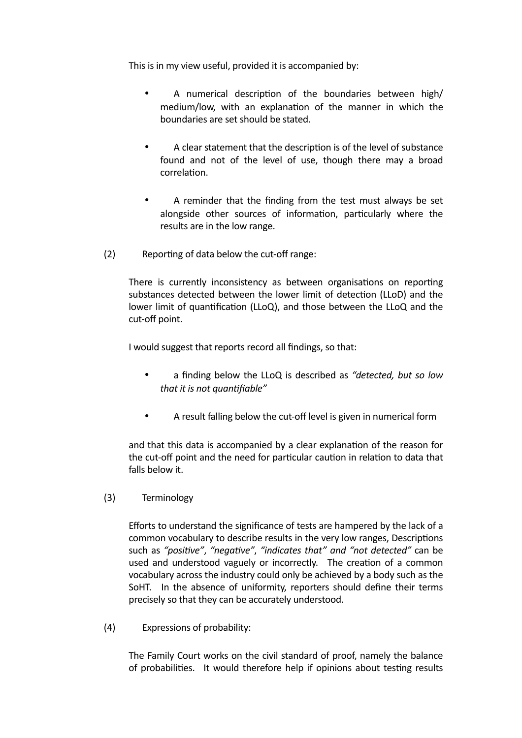This is in my view useful, provided it is accompanied by:

- A numerical description of the boundaries between high/ medium/low, with an explanation of the manner in which the boundaries are set should be stated.
- A clear statement that the description is of the level of substance found and not of the level of use, though there may a broad correlation.
- A reminder that the finding from the test must always be set alongside other sources of information, particularly where the results are in the low range.
- $(2)$  Reporting of data below the cut-off range:

There is currently inconsistency as between organisations on reporting substances detected between the lower limit of detection (LLoD) and the lower limit of quantification (LLoQ), and those between the LLoQ and the cut-off point.

I would suggest that reports record all findings, so that:

- a finding below the LLoQ is described as "detected, but so low *that it is not quantifiable"*
- A result falling below the cut-off level is given in numerical form

and that this data is accompanied by a clear explanation of the reason for the cut-off point and the need for particular caution in relation to data that falls below it.

(3) Terminology

Efforts to understand the significance of tests are hampered by the lack of a common vocabulary to describe results in the very low ranges, Descriptions such as "positive", "negative", "indicates that" and "not detected" can be used and understood vaguely or incorrectly. The creation of a common vocabulary across the industry could only be achieved by a body such as the SoHT. In the absence of uniformity, reporters should define their terms precisely so that they can be accurately understood.

(4) Expressions of probability:

The Family Court works on the civil standard of proof, namely the balance of probabilities. It would therefore help if opinions about testing results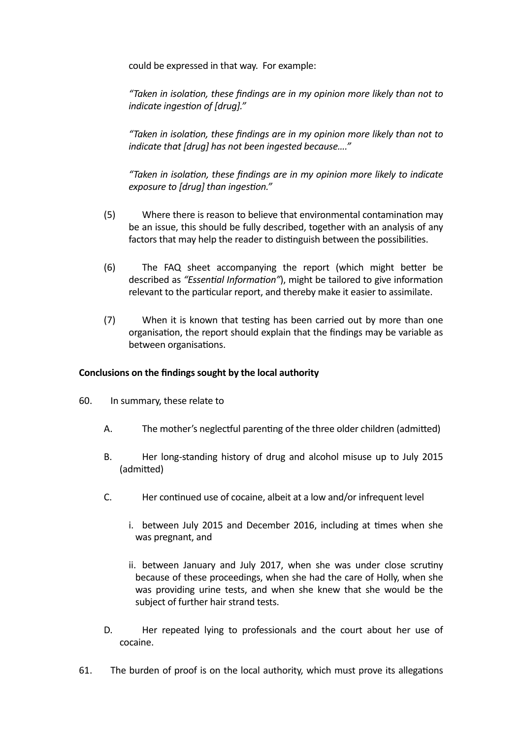could be expressed in that way. For example:

"Taken in isolation, these findings are in my opinion more likely than not to *indicate ingestion of [drug]."* 

"Taken in isolation, these findings are in my opinion more likely than not to indicate that [drug] has not been ingested because...."

*"Taken in isola%on, these findings are in my opinion more likely to indicate exposure to [drug] than ingestion."* 

- (5) Where there is reason to believe that environmental contamination may be an issue, this should be fully described, together with an analysis of any factors that may help the reader to distinguish between the possibilities.
- (6) The FAQ sheet accompanying the report (which might better be described as "*Essential Information"*), might be tailored to give information relevant to the particular report, and thereby make it easier to assimilate.
- (7) When it is known that testing has been carried out by more than one organisation, the report should explain that the findings may be variable as between organisations.

## Conclusions on the findings sought by the local authority

- 60. In summary, these relate to
	- A. The mother's neglectful parenting of the three older children (admitted)
	- B. Her long-standing history of drug and alcohol misuse up to July 2015 (admitted)
	- C. Her continued use of cocaine, albeit at a low and/or infrequent level
		- i. between July 2015 and December 2016, including at times when she was pregnant, and
		- ii. between January and July 2017, when she was under close scrutiny because of these proceedings, when she had the care of Holly, when she was providing urine tests, and when she knew that she would be the subject of further hair strand tests.
	- D. Her repeated lying to professionals and the court about her use of cocaine.
- 61. The burden of proof is on the local authority, which must prove its allegations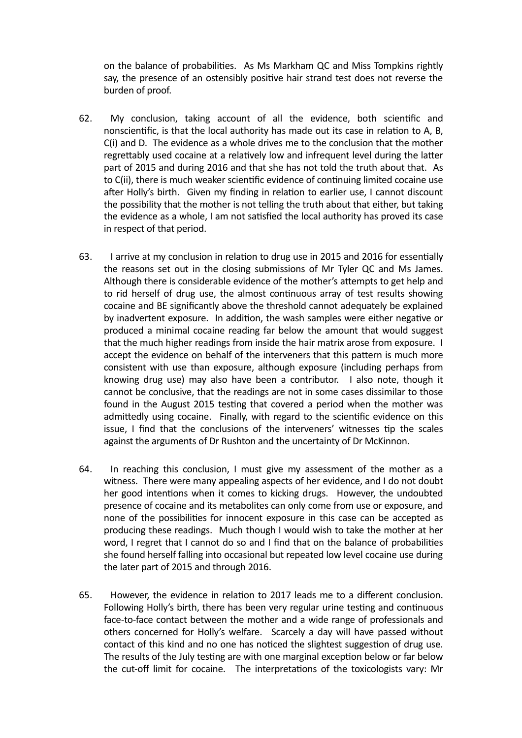on the balance of probabilities. As Ms Markham QC and Miss Tompkins rightly say, the presence of an ostensibly positive hair strand test does not reverse the burden of proof.

- 62. My conclusion, taking account of all the evidence, both scientific and nonscientific, is that the local authority has made out its case in relation to A, B,  $C(i)$  and D. The evidence as a whole drives me to the conclusion that the mother regrettably used cocaine at a relatively low and infrequent level during the latter part of 2015 and during 2016 and that she has not told the truth about that. As to C(ii), there is much weaker scientific evidence of continuing limited cocaine use after Holly's birth. Given my finding in relation to earlier use, I cannot discount the possibility that the mother is not telling the truth about that either, but taking the evidence as a whole, I am not satisfied the local authority has proved its case in respect of that period.
- 63. I arrive at my conclusion in relation to drug use in 2015 and 2016 for essentially the reasons set out in the closing submissions of Mr Tyler QC and Ms James. Although there is considerable evidence of the mother's attempts to get help and to rid herself of drug use, the almost continuous array of test results showing cocaine and BE significantly above the threshold cannot adequately be explained by inadvertent exposure. In addition, the wash samples were either negative or produced a minimal cocaine reading far below the amount that would suggest that the much higher readings from inside the hair matrix arose from exposure. I accept the evidence on behalf of the interveners that this pattern is much more consistent with use than exposure, although exposure (including perhaps from knowing drug use) may also have been a contributor. I also note, though it cannot be conclusive, that the readings are not in some cases dissimilar to those found in the August 2015 testing that covered a period when the mother was admittedly using cocaine. Finally, with regard to the scientific evidence on this issue. I find that the conclusions of the interveners' witnesses tip the scales against the arguments of Dr Rushton and the uncertainty of Dr McKinnon.
- 64. In reaching this conclusion, I must give my assessment of the mother as a witness. There were many appealing aspects of her evidence, and I do not doubt her good intentions when it comes to kicking drugs. However, the undoubted presence of cocaine and its metabolites can only come from use or exposure, and none of the possibilities for innocent exposure in this case can be accepted as producing these readings. Much though I would wish to take the mother at her word, I regret that I cannot do so and I find that on the balance of probabilities she found herself falling into occasional but repeated low level cocaine use during the later part of 2015 and through 2016.
- 65. However, the evidence in relation to 2017 leads me to a different conclusion. Following Holly's birth, there has been very regular urine testing and continuous face-to-face contact between the mother and a wide range of professionals and others concerned for Holly's welfare. Scarcely a day will have passed without contact of this kind and no one has noticed the slightest suggestion of drug use. The results of the July testing are with one marginal exception below or far below the cut-off limit for cocaine. The interpretations of the toxicologists vary: Mr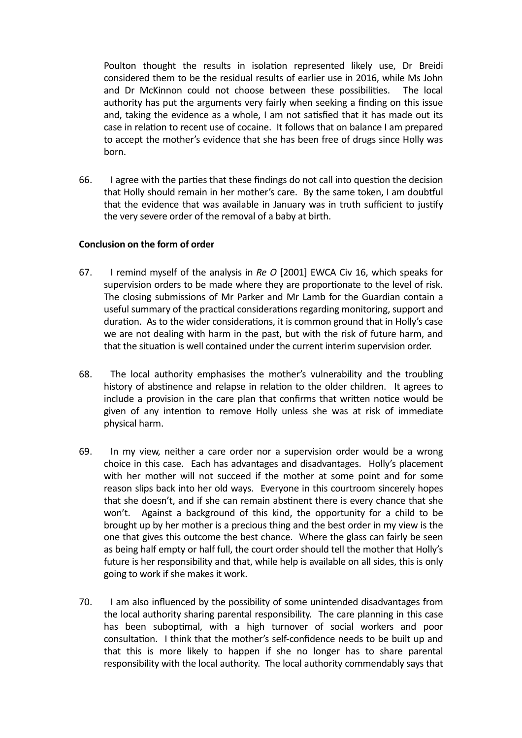Poulton thought the results in isolation represented likely use, Dr Breidi considered them to be the residual results of earlier use in 2016, while Ms John and Dr McKinnon could not choose between these possibilities. The local authority has put the arguments very fairly when seeking a finding on this issue and, taking the evidence as a whole, I am not satisfied that it has made out its case in relation to recent use of cocaine. It follows that on balance I am prepared to accept the mother's evidence that she has been free of drugs since Holly was born.

66. I agree with the parties that these findings do not call into question the decision that Holly should remain in her mother's care. By the same token, I am doubtful that the evidence that was available in January was in truth sufficient to justify the very severe order of the removal of a baby at birth.

# Conclusion on the form of order

- 67. I remind myself of the analysis in *Re O* [2001] EWCA Civ 16, which speaks for supervision orders to be made where they are proportionate to the level of risk. The closing submissions of Mr Parker and Mr Lamb for the Guardian contain a useful summary of the practical considerations regarding monitoring, support and duration. As to the wider considerations, it is common ground that in Holly's case we are not dealing with harm in the past, but with the risk of future harm, and that the situation is well contained under the current interim supervision order.
- 68. The local authority emphasises the mother's vulnerability and the troubling history of abstinence and relapse in relation to the older children. It agrees to include a provision in the care plan that confirms that written notice would be given of any intention to remove Holly unless she was at risk of immediate physical harm.
- 69. In my view, neither a care order nor a supervision order would be a wrong choice in this case. Each has advantages and disadvantages. Holly's placement with her mother will not succeed if the mother at some point and for some reason slips back into her old ways. Everyone in this courtroom sincerely hopes that she doesn't, and if she can remain abstinent there is every chance that she won't. Against a background of this kind, the opportunity for a child to be brought up by her mother is a precious thing and the best order in my view is the one that gives this outcome the best chance. Where the glass can fairly be seen as being half empty or half full, the court order should tell the mother that Holly's future is her responsibility and that, while help is available on all sides, this is only going to work if she makes it work.
- 70. I am also influenced by the possibility of some unintended disadvantages from the local authority sharing parental responsibility. The care planning in this case has been suboptimal, with a high turnover of social workers and poor consultation. I think that the mother's self-confidence needs to be built up and that this is more likely to happen if she no longer has to share parental responsibility with the local authority. The local authority commendably says that